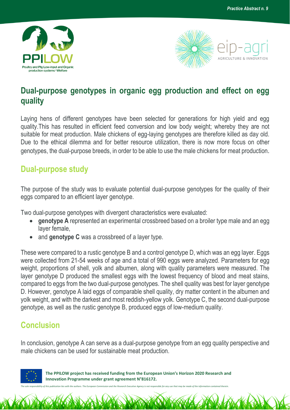



## **Dual-purpose genotypes in organic egg production and effect on egg quality**

Laying hens of different genotypes have been selected for generations for high yield and egg quality.This has resulted in efficient feed conversion and low body weight; whereby they are not suitable for meat production. Male chickens of egg-laying genotypes are therefore killed as day old. Due to the ethical dilemma and for better resource utilization, there is now more focus on other genotypes, the dual-purpose breeds, in order to be able to use the male chickens for meat production.

## **Dual-purpose study**

The purpose of the study was to evaluate potential dual-purpose genotypes for the quality of their eggs compared to an efficient layer genotype.

Two dual-purpose genotypes with divergent characteristics were evaluated:

- **genotype A** represented an experimental crossbreed based on a broiler type male and an egg layer female,
- and **genotype C** was a crossbreed of a layer type.

These were compared to a rustic genotype B and a control genotype D, which was an egg layer. Eggs were collected from 21-54 weeks of age and a total of 990 eggs were analyzed. Parameters for egg weight, proportions of shell, yolk and albumen, along with quality parameters were measured. The layer genotype D produced the smallest eggs with the lowest frequency of blood and meat stains, compared to eggs from the two dual-purpose genotypes. The shell quality was best for layer genotype D. However, genotype A laid eggs of comparable shell quality, dry matter content in the albumen and yolk weight, and with the darkest and most reddish-yellow yolk. Genotype C, the second dual-purpose genotype, as well as the rustic genotype B, produced eggs of low-medium quality.

## **Conclusion**

In conclusion, genotype A can serve as a dual-purpose genotype from an egg quality perspective and male chickens can be used for sustainable meat production.



 **The PPILOW project has received funding from the European Union's Horizon 2020 Research and Innovation Programme under grant agreement N°816172.**

*The sole responsibility of this publication lies with the authors. The European Commission and the Research Executive Agency is not responsible for any use that may be made of the information contained therein.*